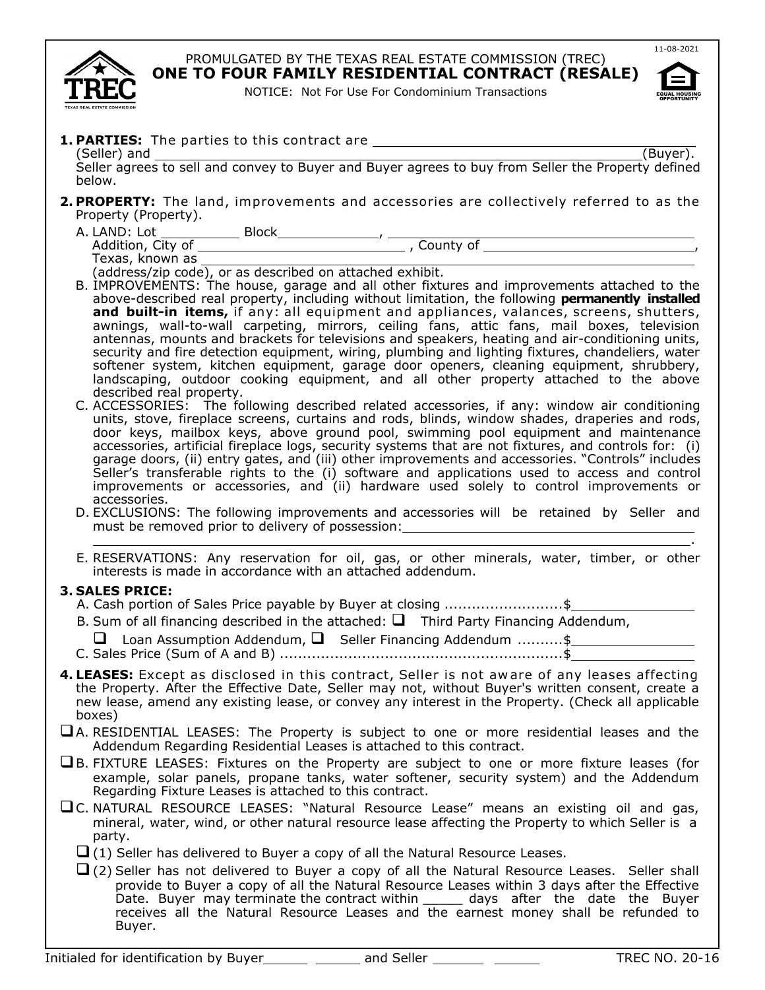

#### $\triangle$  11-08-2021 PROMULGATED BY THE TEXAS REAL ESTATE COMMISSION (TREC) **ONE TO FOUR FAMILY RESIDENTIAL CONTRACT (RESALE)**

NOTICE: Not For Use For Condominium Transactions

Initialed for identification by Buyer and Seller and Seller and Seller and Seller and Seller and Seller and Seller and Seller and Seller and Seller and Seller and Seller and Seller and Seller and Seller and Seller and Sell **1. PARTIES:** The parties to this contract are **1. All 2000 Contract are 1. All 2000 EXAMPLES:** The partner to this solition of the **contract of the contract of the contract of the contract of the contract of the contract of the contract of the contract of the contract of the contract of the contract of t** Seller agrees to sell and convey to Buyer and Buyer agrees to buy from Seller the Property defined below. **2. PROPERTY:** The land, improvements and accessories are collectively referred to as the Property (Property). A. LAND: Lot Block , Addition, City of , County of , Texas, known as (address/zip code), or as described on attached exhibit. B. IMPROVEMENTS: The house, garage and all other fixtures and improvements attached to the above-described real property, including without limitation, the following **permanently installed and built-in items,** if any: all equipment and appliances, valances, screens, shutters, awnings, wall-to-wall carpeting, mirrors, ceiling fans, attic fans, mail boxes, television antennas, mounts and brackets for televisions and speakers, heating and air-conditioning units, security and fire detection equipment, wiring, plumbing and lighting fixtures, chandeliers, water softener system, kitchen equipment, garage door openers, cleaning equipment, shrubbery, landscaping, outdoor cooking equipment, and all other property attached to the above described real property. C. ACCESSORIES: The following described related accessories, if any: window air conditioning units, stove, fireplace screens, curtains and rods, blinds, window shades, draperies and rods, door keys, mailbox keys, above ground pool, swimming pool equipment and maintenance accessories, artificial fireplace logs, security systems that are not fixtures, and controls for: (i) garage doors, (ii) entry gates, and (iii) other improvements and accessories. "Controls" includes Seller's transferable rights to the (i) software and applications used to access and control improvements or accessories, and (ii) hardware used solely to control improvements or accessories. D. EXCLUSIONS: The following improvements and accessories will be retained by Seller and must be removed prior to delivery of possession: . E. RESERVATIONS: Any reservation for oil, gas, or other minerals, water, timber, or other interests is made in accordance with an attached addendum. **3. SALES PRICE:** A. Cash portion of Sales Price payable by Buyer at closing ............................\$ B. Sum of all financing described in the attached:  $\Box$  Third Party Financing Addendum,  $\Box$  Loan Assumption Addendum,  $\Box$  Seller Financing Addendum .......... \$ C. Sales Price (Sum of A and B) .............................................................. \$ **4. LEASES:** Except as disclosed in this contract, Seller is not aware of any leases affecting the Property. After the Effective Date, Seller may not, without Buyer's written consent, create a new lease, amend any existing lease, or convey any interest in the Property. (Check all applicable boxes) A. RESIDENTIAL LEASES: The Property is subject to one or more residential leases and the Addendum Regarding Residential Leases is attached to this contract. B. FIXTURE LEASES: Fixtures on the Property are subject to one or more fixture leases (for example, solar panels, propane tanks, water softener, security system) and the Addendum Regarding Fixture Leases is attached to this contract. C. NATURAL RESOURCE LEASES: "Natural Resource Lease" means an existing oil and gas, mineral, water, wind, or other natural resource lease affecting the Property to which Seller is a party.  $\Box$  (1) Seller has delivered to Buyer a copy of all the Natural Resource Leases.  $\Box$  (2) Seller has not delivered to Buyer a copy of all the Natural Resource Leases. Seller shall provide to Buyer a copy of all the Natural Resource Leases within 3 days after the Effective Date. Buyer may terminate the contract within \_\_\_\_\_\_ days after the date the Buyer receives all the Natural Resource Leases and the earnest money shall be refunded to Buyer.

EQUAL HOUSING OPPORTUNITY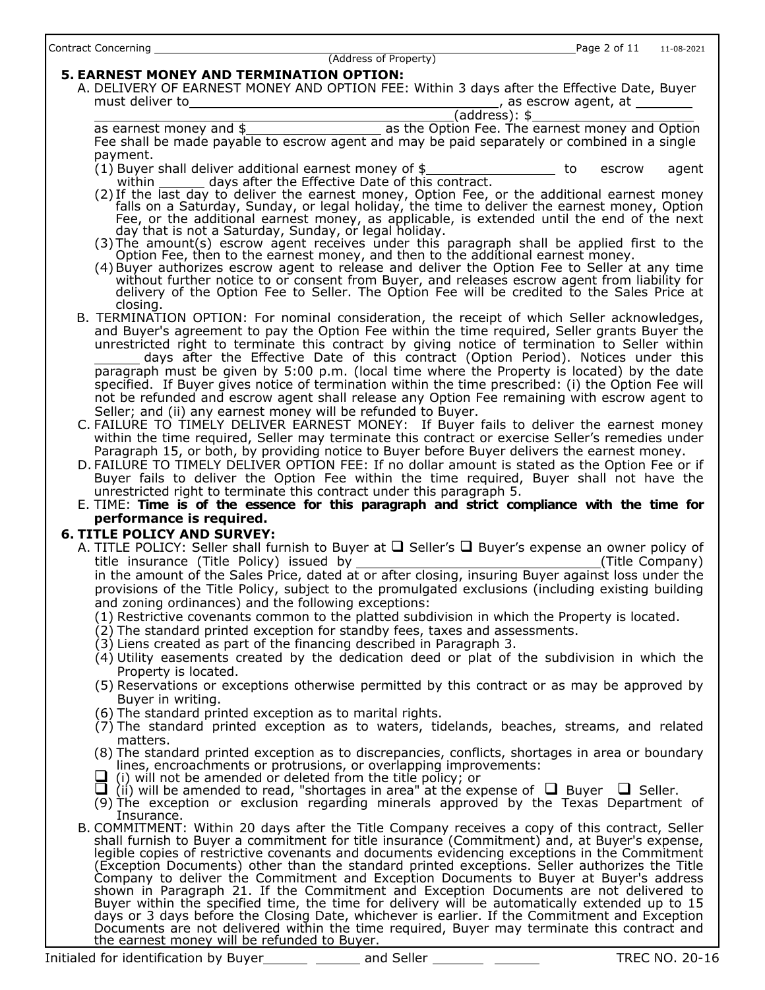| Contract Concerning |  |
|---------------------|--|
|                     |  |
|                     |  |
|                     |  |

(Address of Property)

## **5. EARNEST MONEY AND TERMINATION OPTION:**

 A. DELIVERY OF EARNEST MONEY AND OPTION FEE: Within 3 days after the Effective Date, Buyer must deliver to , as escrow agent, at

(address): \$

as earnest money and  $\frac{1}{2}$  as the Option Fee. The earnest money and Option Fee shall be made payable to escrow agent and may be paid separately or combined in a single payment.

(1) Buyer shall deliver additional earnest money of  $\frac{1}{2}$  to escrow agent within \_\_\_\_\_\_\_ days after the Effective Date of this contract.

- (2) If the last day to deliver the earnest money, Option Fee, or the additional earnest money falls on a Saturday, Sunday, or legal holiday, the time to deliver the earnest money, Option Fee, or the additional earnest money, as applicable, is extended until the end of the next day that is not a Saturday, Sunday, or legal holiday.
- (3) The amount(s) escrow agent receives under this paragraph shall be applied first to the Option Fee, then to the earnest money, and then to the additional earnest money.
- (4) Buyer authorizes escrow agent to release and deliver the Option Fee to Seller at any time without further notice to or consent from Buyer, and releases escrow agent from liability for delivery of the Option Fee to Seller. The Option Fee will be credited to the Sales Price at closing.
- B. TERMINATION OPTION: For nominal consideration, the receipt of which Seller acknowledges, and Buyer's agreement to pay the Option Fee within the time required, Seller grants Buyer the unrestricted right to terminate this contract by giving notice of termination to Seller within days after the Effective Date of this contract (Option Period). Notices under this paragraph must be given by 5:00 p.m. (local time where the Property is located) by the date specified. If Buyer gives notice of termination within the time prescribed: (i) the Option Fee will not be refunded and escrow agent shall release any Option Fee remaining with escrow agent to Seller; and (ii) any earnest money will be refunded to Buyer.
- C. FAILURE TO TIMELY DELIVER EARNEST MONEY: If Buyer fails to deliver the earnest money within the time required, Seller may terminate this contract or exercise Seller's remedies under Paragraph 15, or both, by providing notice to Buyer before Buyer delivers the earnest money.
- D. FAILURE TO TIMELY DELIVER OPTION FEE: If no dollar amount is stated as the Option Fee or if Buyer fails to deliver the Option Fee within the time required, Buyer shall not have the unrestricted right to terminate this contract under this paragraph 5.
- E. TIME: **Time is of the essence for this paragraph and strict compliance with the time for performance is required.**

# **6. TITLE POLICY AND SURVEY:**

- A. TITLE POLICY: Seller shall furnish to Buyer at Seller's Buyer's expense an owner policy of title insurance (Title Policy) issued by  $\_$ in the amount of the Sales Price, dated at or after closing, insuring Buyer against loss under the provisions of the Title Policy, subject to the promulgated exclusions (including existing building and zoning ordinances) and the following exceptions:
	- (1) Restrictive covenants common to the platted subdivision in which the Property is located.
	- (2) The standard printed exception for standby fees, taxes and assessments.
	- (3) Liens created as part of the financing described in Paragraph 3.
	- (4) Utility easements created by the dedication deed or plat of the subdivision in which the Property is located.
	- (5) Reservations or exceptions otherwise permitted by this contract or as may be approved by Buyer in writing.
	- (6) The standard printed exception as to marital rights.
	- (7) The standard printed exception as to waters, tidelands, beaches, streams, and related matters.
	- (8) The standard printed exception as to discrepancies, conflicts, shortages in area or boundary<br>
	lines, encroachments or protrusions, or overlapping improvements:
	-
	- $\Box$  lines, encroachments or protrusions, or overlapping improvements:  $\Box$ <br> $\Box$  (i) will not be amended or deleted from the title policy; or  $\Box$  Buyer  $\Box$  Seller.<br> $\Box$  (ii) will be amended to read, "shortages in area"
	- (9) The exception or exclusion regarding minerals approved by the Texas Department of Insurance.
- B. COMMITMENT: Within 20 days after the Title Company receives a copy of this contract, Seller shall furnish to Buyer a commitment for title insurance (Commitment) and, at Buyer's expense, legible copies of restrictive covenants and documents evidencing exceptions in the Commitment (Exception Documents) other than the standard printed exceptions. Seller authorizes the Title Company to deliver the Commitment and Exception Documents to Buyer at Buyer's address shown in Paragraph 21. If the Commitment and Exception Documents are not delivered to Buyer within the specified time, the time for delivery will be automatically extended up to 15 days or 3 days before the Closing Date, whichever is earlier. If the Commitment and Exception Documents are not delivered within the time required, Buyer may terminate this contract and the earnest money will be refunded to Buyer.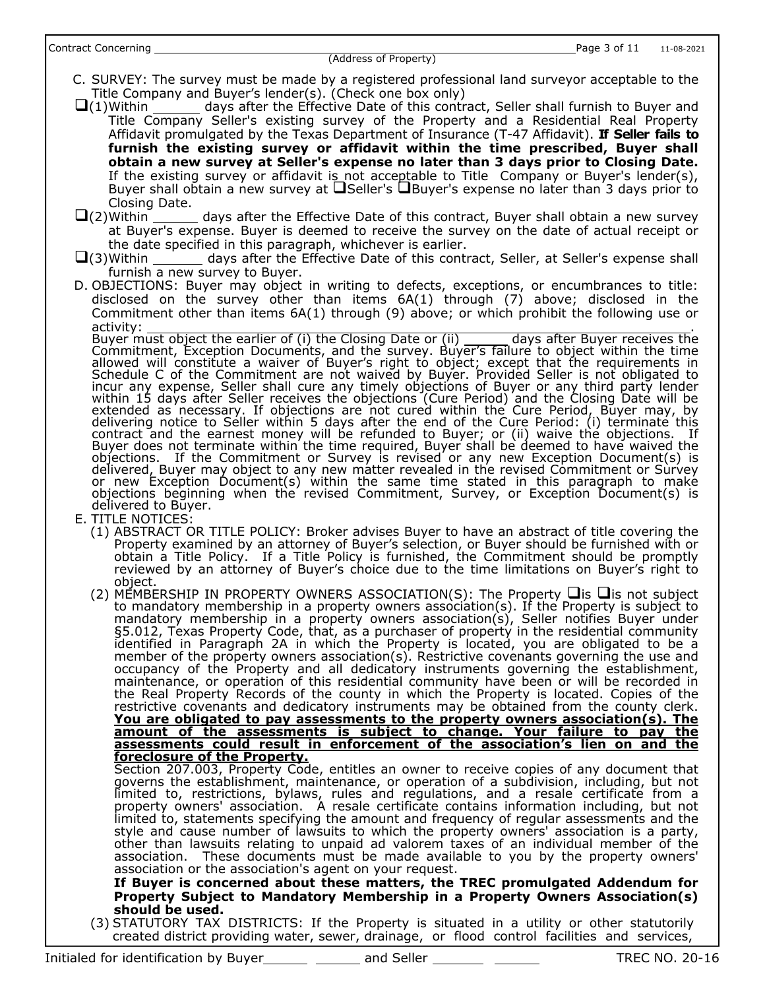- C. SURVEY: The survey must be made by a registered professional land surveyor acceptable to the Title Company and Buyer's lender(s). (Check one box only)
- $\Box(1)$  Within \_\_\_\_\_\_\_\_ days after the Effective Date of this contract, Seller shall furnish to Buyer and Title Company Seller's existing survey of the Property and a Residential Real Property Affidavit promulgated by the Texas Department of Insurance (T-47 Affidavit). **If Seller fails to furnish the existing survey or affidavit within the time prescribed, Buyer shall obtain a new survey at Seller's expense no later than 3 days prior to Closing Date.**  If the existing survey or affidavit is not acceptable to Title Company or Buyer's lender(s), Buyer shall obtain a new survey at  $\square$  Seller's  $\square$  Buyer's expense no later than 3 days prior to Closing Date.
- $\Box$ (2) Within \_\_\_\_\_\_\_ days after the Effective Date of this contract, Buyer shall obtain a new survey at Buyer's expense. Buyer is deemed to receive the survey on the date of actual receipt or the date specified in this paragraph, whichever is earlier.
- $\Box$ (3) Within \_\_\_\_\_\_\_ days after the Effective Date of this contract, Seller, at Seller's expense shall furnish a new survey to Buyer.
- D. OBJECTIONS: Buyer may object in writing to defects, exceptions, or encumbrances to title: disclosed on the survey other than items 6A(1) through (7) above; disclosed in the Commitment other than items 6A(1) through (9) above; or which prohibit the following use or

activity: . Buyer must object the earlier of (i) the Closing Date or (ii) days after Buyer receives the Commitment, Exception Documents, and the survey. Buyer's failure to object within the time allowed will constitute a waiver of Buyer's right to object; except that the requirements in Schedule C of the Commitment are not waived by Buyer. Provided Seller is not obligated to incur any expense, Seller shall cure any timely objections of Buyer or any third party lender within 15 days after Seller receives the objections (Cure Period) and the Closing Date will be<br>extended as necessary. If objections are not cured within the Cure Period, Buyer may, by<br>delivering notice to Seller within 5 d or new Exception Document(s) within the same time stated in this paragraph to make<br>objections beginning when the revised Commitment, Survey, or Exception Document(s) is<br>delivered to Buyer.

- E. TITLE NOTICES:
	- (1) ABSTRACT OR TITLE POLICY: Broker advises Buyer to have an abstract of title covering the Property examined by an attorney of Buyer's selection, or Buyer should be furnished with or obtain a Title Policy. If a Title Policy is furnished, the Commitment should be promptly reviewed by an attorney of Buyer's choice due to the time limitations on Buyer's right to object.
	- (2) MEMBERSHIP IN PROPERTY OWNERS ASSOCIATION(S): The Property  $\Box$  is  $\Box$  is not subject to mandatory membership in a property owners association(s). If the Property is subject to mandatory membership in a property owners association(s), Seller notifies Buyer under §5.012, Texas Property Code, that, as a purchaser of property in the residential community identified in Paragraph 2A in which the Property is located, you are obligated to be a member of the property owners association(s). Restrictive covenants governing the use and occupancy of the Property and all dedicatory instruments governing the establishment, maintenance, or operation of this residential community have been or will be recorded in the Real Property Records of the county in which the Property is located. Copies of the restrictive covenants and dedicatory instruments may be obtained from the county clerk. **You are obligated to pay assessments to the property owners association(s). The amount of the assessments is subject to change. Your failure to pay the assessments could result in enforcement of the association's lien on and the foreclosure of the Property.**

Section 207.003, Property Code, entitles an owner to receive copies of any document that governs the establishment, maintenance, or operation of a subdivision, including, but not limited to, restrictions, bylaws, rules and regulations, and a resale certificate from a property owners' association. A resale certificate contains information including, but not limited to, statements specifying the amount and frequency of regular assessments and the style and cause number of lawsuits to which the property owners' association is a party, other than lawsuits relating to unpaid ad valorem taxes of an individual member of the association. These documents must be made available to you by the property owners' association or the association's agent on your request.

### **If Buyer is concerned about these matters, the TREC promulgated Addendum for Property Subject to Mandatory Membership in a Property Owners Association(s) should be used.**

(3) STATUTORY TAX DISTRICTS: If the Property is situated in a utility or other statutorily created district providing water, sewer, drainage, or flood control facilities and services,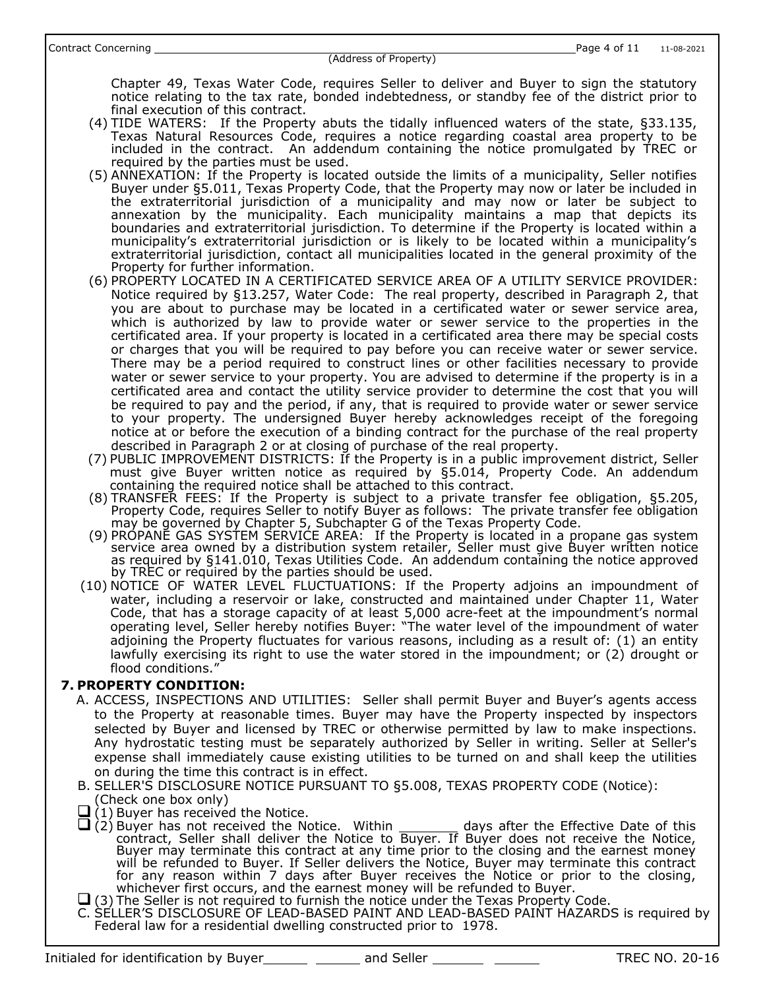#### (Address of Property)

 Chapter 49, Texas Water Code, requires Seller to deliver and Buyer to sign the statutory notice relating to the tax rate, bonded indebtedness, or standby fee of the district prior to final execution of this contract.

- (4) TIDE WATERS: If the Property abuts the tidally influenced waters of the state, §33.135, Texas Natural Resources Code, requires a notice regarding coastal area property to be included in the contract. An addendum containing the notice promulgated by TREC or required by the parties must be used.
- (5) ANNEXATION: If the Property is located outside the limits of a municipality, Seller notifies Buyer under §5.011, Texas Property Code, that the Property may now or later be included in the extraterritorial jurisdiction of a municipality and may now or later be subject to annexation by the municipality. Each municipality maintains a map that depicts its boundaries and extraterritorial jurisdiction. To determine if the Property is located within a municipality's extraterritorial jurisdiction or is likely to be located within a municipality's extraterritorial jurisdiction, contact all municipalities located in the general proximity of the Property for further information.
- (6) PROPERTY LOCATED IN A CERTIFICATED SERVICE AREA OF A UTILITY SERVICE PROVIDER: Notice required by §13.257, Water Code: The real property, described in Paragraph 2, that you are about to purchase may be located in a certificated water or sewer service area, which is authorized by law to provide water or sewer service to the properties in the certificated area. If your property is located in a certificated area there may be special costs or charges that you will be required to pay before you can receive water or sewer service. There may be a period required to construct lines or other facilities necessary to provide water or sewer service to your property. You are advised to determine if the property is in a certificated area and contact the utility service provider to determine the cost that you will be required to pay and the period, if any, that is required to provide water or sewer service to your property. The undersigned Buyer hereby acknowledges receipt of the foregoing notice at or before the execution of a binding contract for the purchase of the real property described in Paragraph 2 or at closing of purchase of the real property.
- (7) PUBLIC IMPROVEMENT DISTRICTS: If the Property is in a public improvement district, Seller must give Buyer written notice as required by §5.014, Property Code. An addendum containing the required notice shall be attached to this contract.
- (8) TRANSFER FEES: If the Property is subject to a private transfer fee obligation, §5.205, Property Code, requires Seller to notify Buyer as follows: The private transfer fee obligation may be governed by Chapter 5, Subchapter G of the Texas Property Code.
- (9) PROPANE GAS SYSTEM SERVICE AREA: If the Property is located in a propane gas system service area owned by a distribution system retailer, Seller must give Buyer written notice as required by §141.010, Texas Utilities Code. An addendum containing the notice approved by TREC or required by the parties should be used.
- (10) NOTICE OF WATER LEVEL FLUCTUATIONS: If the Property adjoins an impoundment of water, including a reservoir or lake, constructed and maintained under Chapter 11, Water Code, that has a storage capacity of at least 5,000 acre-feet at the impoundment's normal operating level, Seller hereby notifies Buyer: "The water level of the impoundment of water adjoining the Property fluctuates for various reasons, including as a result of: (1) an entity lawfully exercising its right to use the water stored in the impoundment; or (2) drought or flood conditions."

# **7. PROPERTY CONDITION:**

- A. ACCESS, INSPECTIONS AND UTILITIES: Seller shall permit Buyer and Buyer's agents access to the Property at reasonable times. Buyer may have the Property inspected by inspectors selected by Buyer and licensed by TREC or otherwise permitted by law to make inspections. Any hydrostatic testing must be separately authorized by Seller in writing. Seller at Seller's expense shall immediately cause existing utilities to be turned on and shall keep the utilities on during the time this contract is in effect.
- B. SELLER'S DISCLOSURE NOTICE PURSUANT TO §5.008, TEXAS PROPERTY CODE (Notice): (Check one box only)
- $(i)$  Buyer has received the Notice.
- $\Box$  (2) Buyer has not received the Notice. Within \_\_\_\_\_\_\_\_ days after the Effective Date of this contract, Seller shall deliver the Notice to Buyer. If Buyer does not receive the Notice, Buyer may terminate this contract at any time prior to the closing and the earnest money will be refunded to Buyer. If Seller delivers the Notice, Buyer may terminate this contract for any reason within 7 days after Buyer receives the Notice or prior to the closing, whichever first occurs, and the earnest money will be refunded to Buyer.
- $\Box$  (3) The Seller is not required to furnish the notice under the Texas Property Code.
- C. SELLER'S DISCLOSURE OF LEAD-BASED PAINT AND LEAD-BASED PAINT HAZARDS is required by Federal law for a residential dwelling constructed prior to 1978.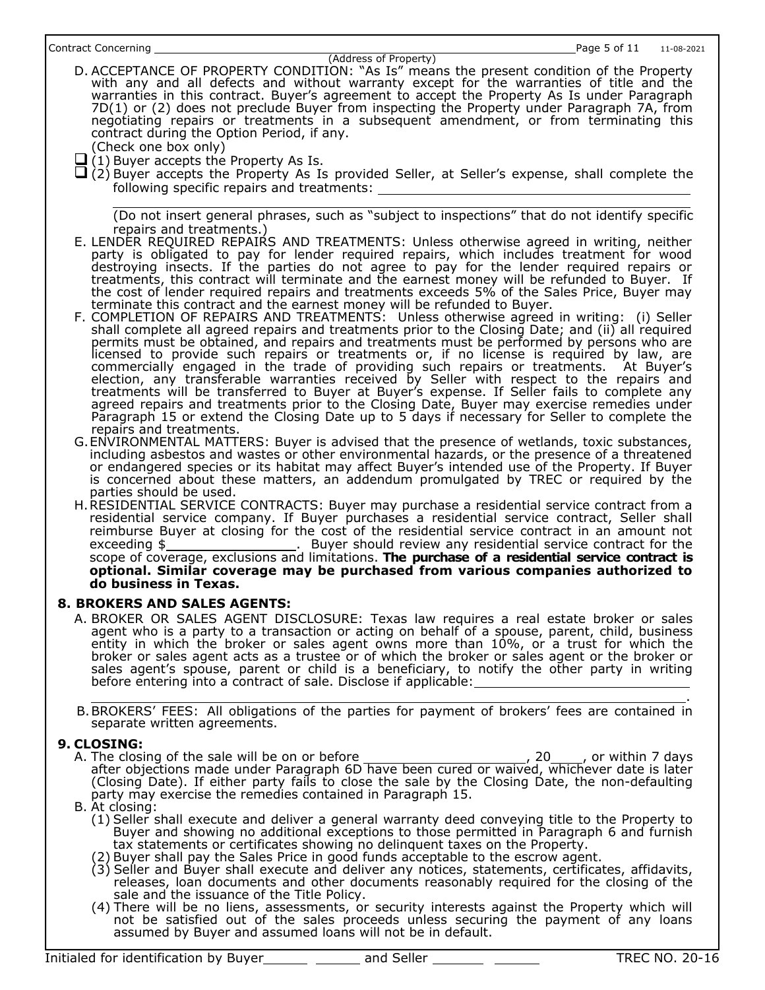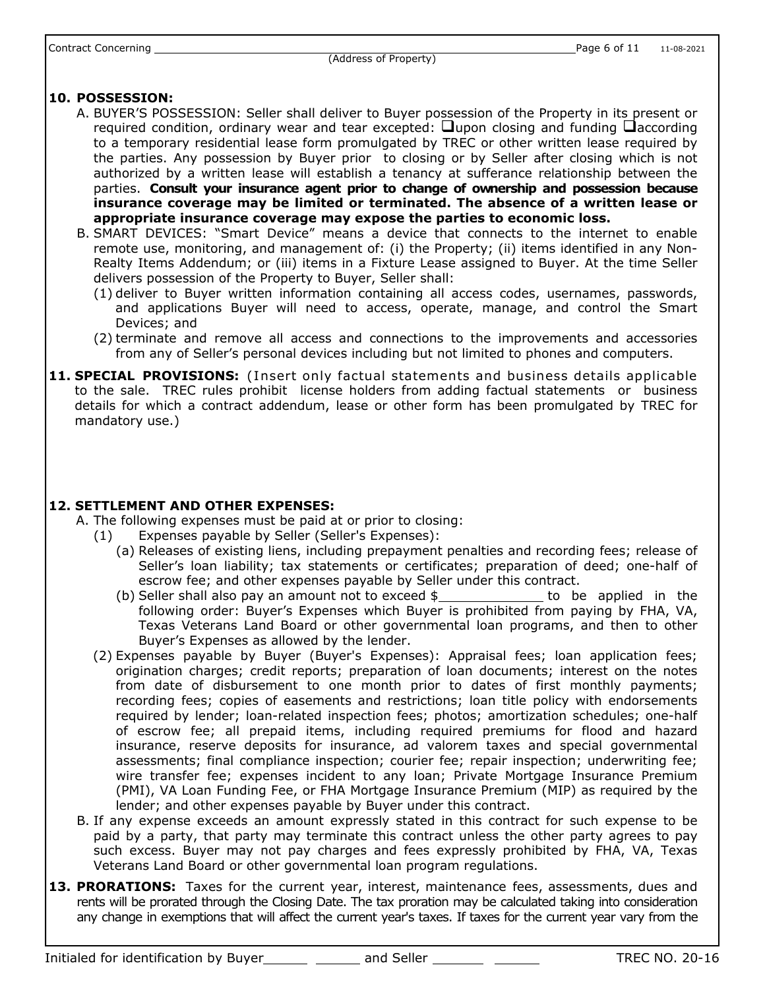## **10. POSSESSION:**

- A. BUYER'S POSSESSION: Seller shall deliver to Buyer possession of the Property in its present or required condition, ordinary wear and tear excepted:  $\square$ upon closing and funding  $\square$ according to a temporary residential lease form promulgated by TREC or other written lease required by the parties. Any possession by Buyer prior to closing or by Seller after closing which is not authorized by a written lease will establish a tenancy at sufferance relationship between the parties. **Consult your insurance agent prior to change of ownership and possession because insurance coverage may be limited or terminated. The absence of a written lease or appropriate insurance coverage may expose the parties to economic loss.**
- B. SMART DEVICES: "Smart Device" means a device that connects to the internet to enable remote use, monitoring, and management of: (i) the Property; (ii) items identified in any Non-Realty Items Addendum; or (iii) items in a Fixture Lease assigned to Buyer. At the time Seller delivers possession of the Property to Buyer, Seller shall:
	- (1) deliver to Buyer written information containing all access codes, usernames, passwords, and applications Buyer will need to access, operate, manage, and control the Smart Devices; and
	- (2) terminate and remove all access and connections to the improvements and accessories from any of Seller's personal devices including but not limited to phones and computers.
- **11. SPECIAL PROVISIONS:** (Insert only factual statements and business details applicable to the sale. TREC rules prohibit license holders from adding factual statements or business details for which a contract addendum, lease or other form has been promulgated by TREC for mandatory use.)

# **12. SETTLEMENT AND OTHER EXPENSES:**

- A. The following expenses must be paid at or prior to closing:
	- (1) Expenses payable by Seller (Seller's Expenses):
		- (a) Releases of existing liens, including prepayment penalties and recording fees; release of Seller's loan liability; tax statements or certificates; preparation of deed; one-half of escrow fee; and other expenses payable by Seller under this contract.
		- (b) Seller shall also pay an amount not to exceed  $\frac{1}{2}$  to be applied in the following order: Buyer's Expenses which Buyer is prohibited from paying by FHA, VA, Texas Veterans Land Board or other governmental loan programs, and then to other Buyer's Expenses as allowed by the lender.
	- (2) Expenses payable by Buyer (Buyer's Expenses): Appraisal fees; loan application fees; origination charges; credit reports; preparation of loan documents; interest on the notes from date of disbursement to one month prior to dates of first monthly payments; recording fees; copies of easements and restrictions; loan title policy with endorsements required by lender; loan-related inspection fees; photos; amortization schedules; one-half of escrow fee; all prepaid items, including required premiums for flood and hazard insurance, reserve deposits for insurance, ad valorem taxes and special governmental assessments; final compliance inspection; courier fee; repair inspection; underwriting fee; wire transfer fee; expenses incident to any loan; Private Mortgage Insurance Premium (PMI), VA Loan Funding Fee, or FHA Mortgage Insurance Premium (MIP) as required by the lender; and other expenses payable by Buyer under this contract.
- B. If any expense exceeds an amount expressly stated in this contract for such expense to be paid by a party, that party may terminate this contract unless the other party agrees to pay such excess. Buyer may not pay charges and fees expressly prohibited by FHA, VA, Texas Veterans Land Board or other governmental loan program regulations.
- 13. PRORATIONS: Taxes for the current year, interest, maintenance fees, assessments, dues and rents will be prorated through the Closing Date. The tax proration may be calculated taking into consideration any change in exemptions that will affect the current year's taxes. If taxes for the current year vary from the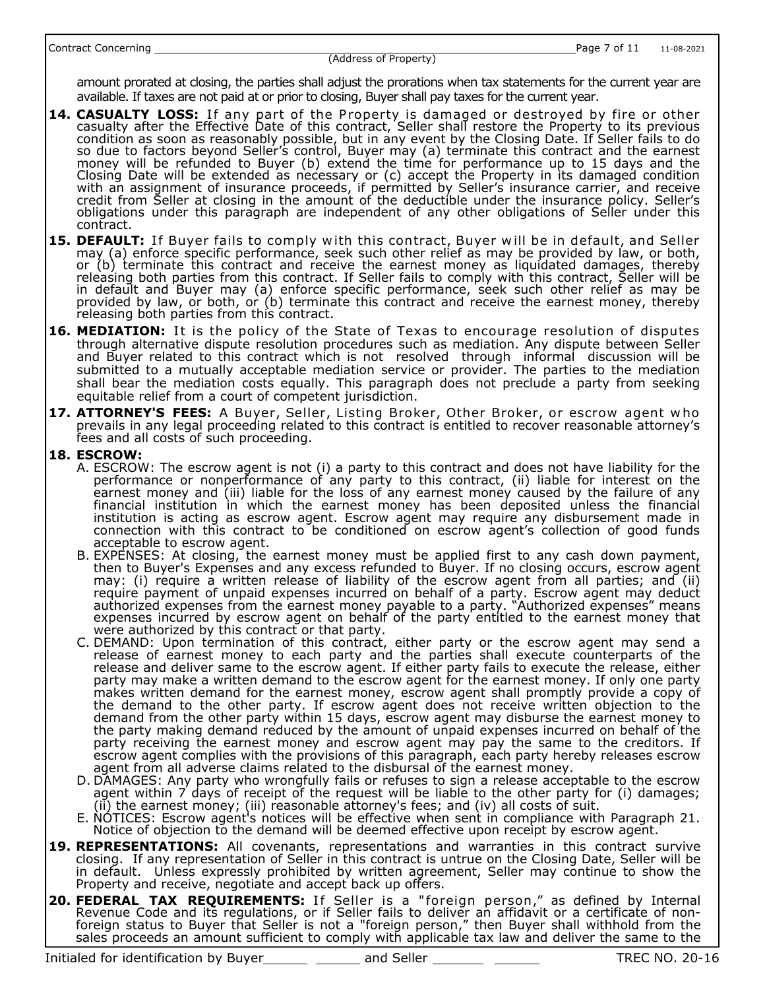amount prorated at closing, the parties shall adjust the prorations when tax statements for the current year are available. If taxes are not paid at or prior to closing, Buyer shall pay taxes for the current year.

- **14. CASUALTY LOSS:** If any part of the Property is damaged or destroyed by fire or other casualty after the Effective Date of this contract, Seller shall restore the Property to its previous condition as soon as reasonably possible, but in any event by the Closing Date. If Seller fails to do so due to factors beyond Seller's control, Buyer may (a) terminate this contract and the earnest money will be refunded to Buyer (b) extend the time for performance up to 15 days and the Closing Date will be extended as necessary or (c) accept the Property in its damaged condition with an assignment of insurance proceeds, if permitted by Seller's insurance carrier, and receive credit from Seller at closing in the amount of the deductible under the insurance policy. Seller's obligations under this paragraph are independent of any other obligations of Seller under this contract.
- **15. DEFAULT:** If Buyer fails to comply with this contract, Buyer will be in default, and Seller may (a) enforce specific performance, seek such other relief as may be provided by law, or both, or (b) terminate this contract and receive the earnest money as liquidated damages, thereby releasing both parties from this contract. If Seller fails to comply with this contract, Seller will be in default and Buyer may (a) enforce specific performance, seek such other relief as may be provided by law, or both, or (b) terminate this contract and receive the earnest money, thereby releasing both parties from this contract.
- **16. MEDIATION:** It is the policy of the State of Texas to encourage resolution of disputes through alternative dispute resolution procedures such as mediation. Any dispute between Seller and Buyer related to this contract which is not resolved through informal discussion will be submitted to a mutually acceptable mediation service or provider. The parties to the mediation shall bear the mediation costs equally. This paragraph does not preclude a party from seeking equitable relief from a court of competent jurisdiction.
- **17. ATTORNEY'S FEES:** A Buyer, Seller, Listing Broker, Other Broker, or escrow agent w ho prevails in any legal proceeding related to this contract is entitled to recover reasonable attorney's fees and all costs of such proceeding.

## **18. ESCROW:**

- A. ESCROW: The escrow agent is not (i) a party to this contract and does not have liability for the performance or nonperformance of any party to this contract, (ii) liable for interest on the earnest money and (iii) liable for the loss of any earnest money caused by the failure of any financial institution in which the earnest money has been deposited unless the financial institution is acting as escrow agent. Escrow agent may require any disbursement made in connection with this contract to be conditioned on escrow agent's collection of good funds acceptable to escrow agent.
- B. EXPENSES: At closing, the earnest money must be applied first to any cash down payment, then to Buyer's Expenses and any excess refunded to Buyer. If no closing occurs, escrow agent may: (i) require a written release of liability of the escrow agent from all parties; and (ii) require payment of unpaid expenses incurred on behalf of a party. Escrow agent may deduct authorized expenses from the earnest money payable to a party. "Authorized expenses" means expenses incurred by escrow agent on behalf of the party entitled to the earnest money that were authorized by this contract or that party.
- C. DEMAND: Upon termination of this contract, either party or the escrow agent may send a release of earnest money to each party and the parties shall execute counterparts of the release and deliver same to the escrow agent. If either party fails to execute the release, either party may make a written demand to the escrow agent for the earnest money. If only one party makes written demand for the earnest money, escrow agent shall promptly provide a copy of the demand to the other party. If escrow agent does not receive written objection to the demand from the other party within 15 days, escrow agent may disburse the earnest money to the party making demand reduced by the amount of unpaid expenses incurred on behalf of the party receiving the earnest money and escrow agent may pay the same to the creditors. If escrow agent complies with the provisions of this paragraph, each party hereby releases escrow agent from all adverse claims related to the disbursal of the earnest money.
- D. DAMAGES: Any party who wrongfully fails or refuses to sign a release acceptable to the escrow agent within 7 days of receipt of the request will be liable to the other party for (i) damages; (ii) the earnest money; (iii) reasonable attorney's fees; and (iv) all costs of suit.
- E. NOTICES: Escrow agent's notices will be effective when sent in compliance with Paragraph 21. Notice of objection to the demand will be deemed effective upon receipt by escrow agent.
- **19. REPRESENTATIONS:** All covenants, representations and warranties in this contract survive closing. If any representation of Seller in this contract is untrue on the Closing Date, Seller will be in default. Unless expressly prohibited by written agreement, Seller may continue to show the Property and receive, negotiate and accept back up offers.
- 20. FEDERAL TAX REQUIREMENTS: If Seller is a "foreign person," as defined by Internal Revenue Code and its regulations, or if Seller fails to deliver an affidavit or a certificate of nonforeign status to Buyer that Seller is not a "foreign person," then Buyer shall withhold from the sales proceeds an amount sufficient to comply with applicable tax law and deliver the same to the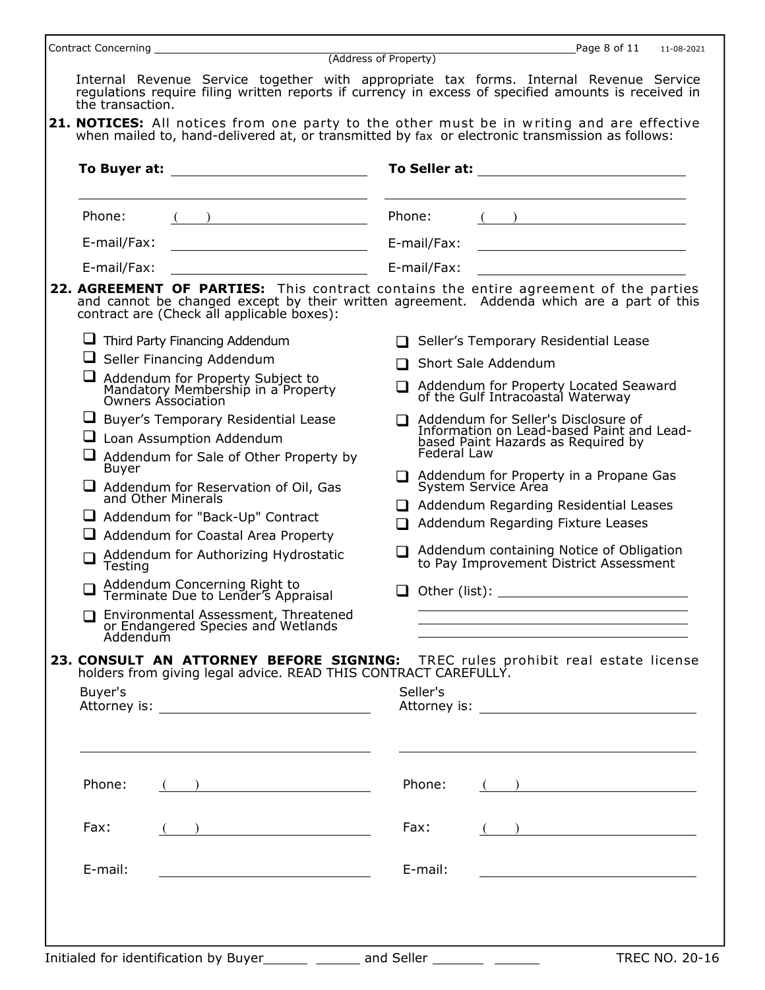|                  |                                                                                                                                | (Address of Property) |                    | Page 8 of 11<br>11-08-2021                                                                                                                                                                                                                                                                                                                          |
|------------------|--------------------------------------------------------------------------------------------------------------------------------|-----------------------|--------------------|-----------------------------------------------------------------------------------------------------------------------------------------------------------------------------------------------------------------------------------------------------------------------------------------------------------------------------------------------------|
| the transaction. |                                                                                                                                |                       |                    | Internal Revenue Service together with appropriate tax forms. Internal Revenue Service<br>regulations require filing written reports if currency in excess of specified amounts is received in<br>21. NOTICES: All notices from one party to the other must be in writing and are effective                                                         |
|                  |                                                                                                                                |                       |                    | when mailed to, hand-delivered at, or transmitted by fax or electronic transmission as follows:                                                                                                                                                                                                                                                     |
| Phone:           | $\left(\begin{array}{c} \begin{array}{c} \end{array}\\ \end{array}\right)$                                                     |                       | Phone:             | $\left(\begin{array}{c} \begin{array}{c} \end{array}\\ \end{array}\right)$                                                                                                                                                                                                                                                                          |
| E-mail/Fax:      |                                                                                                                                |                       | E-mail/Fax:        |                                                                                                                                                                                                                                                                                                                                                     |
| E-mail/Fax:      | <u> 1989 - Johann Barn, fransk politik format (</u>                                                                            |                       | E-mail/Fax:        | <u> 1980 - Jan Samuel Barbara, martin d</u>                                                                                                                                                                                                                                                                                                         |
|                  | contract are (Check all applicable boxes):                                                                                     |                       |                    | 22. AGREEMENT OF PARTIES: This contract contains the entire agreement of the parties<br>and cannot be changed except by their written agreement. Addenda which are a part of this                                                                                                                                                                   |
|                  | $\Box$ Third Party Financing Addendum                                                                                          |                       |                    | Seller's Temporary Residential Lease                                                                                                                                                                                                                                                                                                                |
|                  | $\Box$ Seller Financing Addendum                                                                                               |                       |                    | Short Sale Addendum                                                                                                                                                                                                                                                                                                                                 |
|                  | Addendum for Property Subject to<br>Mandatory Membership in a Property<br>Owners Association                                   |                       |                    | Addendum for Property Located Seaward<br>of the Gulf Intracoastal Waterway                                                                                                                                                                                                                                                                          |
| Buyer            | $\Box$ Buyer's Temporary Residential Lease<br>$\Box$ Loan Assumption Addendum<br>$\Box$ Addendum for Sale of Other Property by |                       | <b>Federal Law</b> | Addendum for Seller's Disclosure of<br>Information on Lead-based Paint and Lead-<br>based Paint Hazards as Required by                                                                                                                                                                                                                              |
|                  | $\Box$ Addendum for Reservation of Oil, Gas<br>and Other Minerals                                                              |                       |                    | Addendum for Property in a Propane Gas<br>System Service Area<br>$\Box$ Addendum Regarding Residential Leases                                                                                                                                                                                                                                       |
|                  | $\Box$ Addendum for "Back-Up" Contract                                                                                         |                       |                    | Addendum Regarding Fixture Leases                                                                                                                                                                                                                                                                                                                   |
| Testing          | Addendum for Coastal Area Property<br>Addendum for Authorizing Hydrostatic                                                     |                       |                    | Addendum containing Notice of Obligation<br>to Pay Improvement District Assessment                                                                                                                                                                                                                                                                  |
|                  | Addendum Concerning Right to<br>Terminate Due to Lender's Appraisal                                                            |                       |                    |                                                                                                                                                                                                                                                                                                                                                     |
| Addendum         | Environmental Assessment, Threatened<br>or Endangered Species and Wetlands                                                     |                       |                    |                                                                                                                                                                                                                                                                                                                                                     |
|                  | holders from giving legal advice. READ THIS CONTRACT CAREFULLY.                                                                |                       |                    | 23. CONSULT AN ATTORNEY BEFORE SIGNING: TREC rules prohibit real estate license                                                                                                                                                                                                                                                                     |
| Buyer's          |                                                                                                                                |                       | Seller's           |                                                                                                                                                                                                                                                                                                                                                     |
| Phone:           | $\overline{(\hspace{.1cm})\hspace{.1cm}}$                                                                                      |                       | Phone:             | $\begin{picture}(20,10) \put(0,0){\line(1,0){10}} \put(15,0){\line(1,0){10}} \put(15,0){\line(1,0){10}} \put(15,0){\line(1,0){10}} \put(15,0){\line(1,0){10}} \put(15,0){\line(1,0){10}} \put(15,0){\line(1,0){10}} \put(15,0){\line(1,0){10}} \put(15,0){\line(1,0){10}} \put(15,0){\line(1,0){10}} \put(15,0){\line(1,0){10}} \put(15,0){\line(1$ |
| Fax:             | $\overline{\phantom{a}}$                                                                                                       |                       | Fax:               |                                                                                                                                                                                                                                                                                                                                                     |
| E-mail:          |                                                                                                                                |                       | E-mail:            |                                                                                                                                                                                                                                                                                                                                                     |
|                  |                                                                                                                                |                       |                    |                                                                                                                                                                                                                                                                                                                                                     |

 $\Gamma$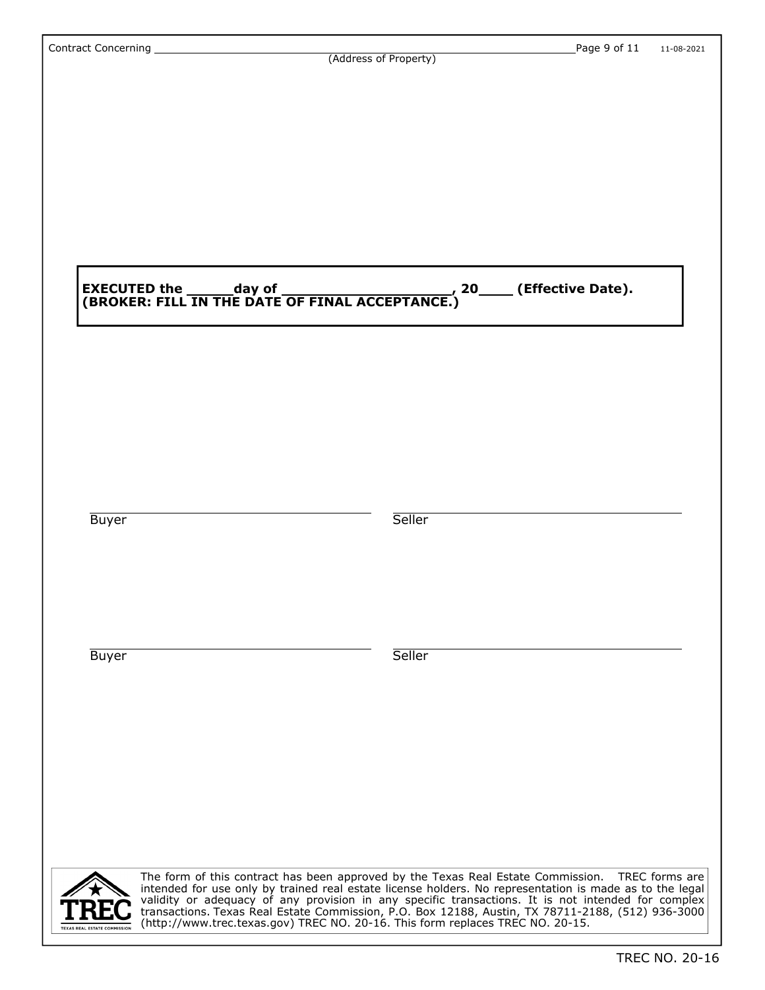|              | 20            | (Effective Date). |  |
|--------------|---------------|-------------------|--|
|              |               |                   |  |
|              |               |                   |  |
| <b>Buyer</b> | <b>Seller</b> |                   |  |
|              |               |                   |  |
| <b>Buyer</b> | <b>Seller</b> |                   |  |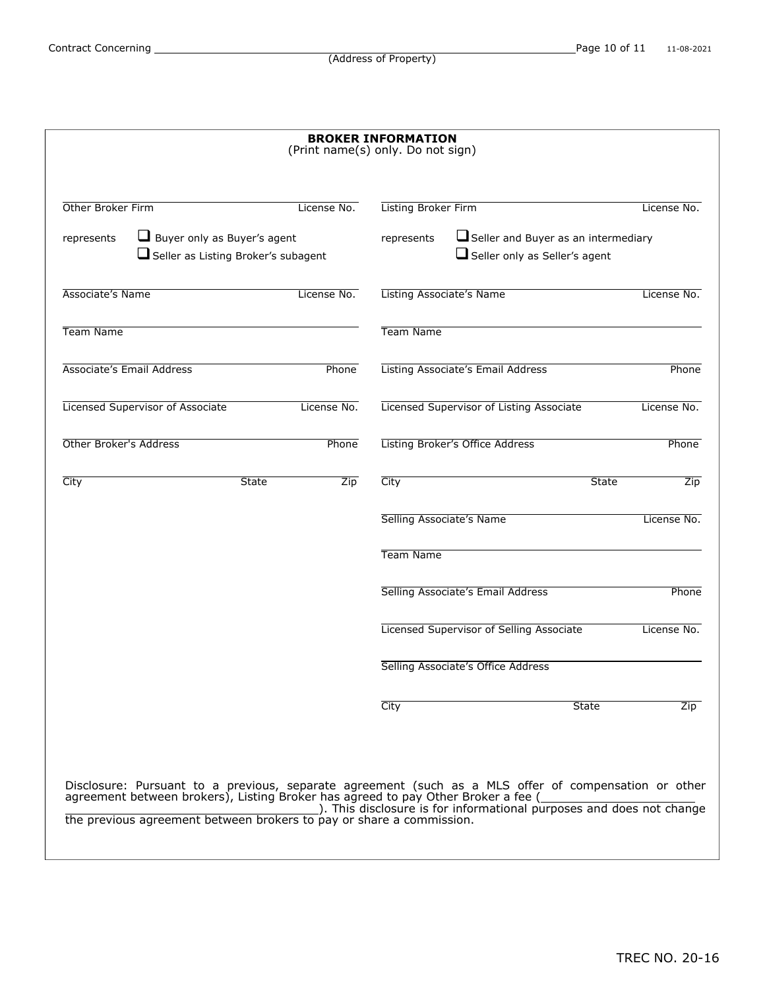|                                                                                  |             | <b>BROKER INFORMATION</b><br>(Print name(s) only. Do not sign)                                                                                                                                                                   |                     |
|----------------------------------------------------------------------------------|-------------|----------------------------------------------------------------------------------------------------------------------------------------------------------------------------------------------------------------------------------|---------------------|
| Other Broker Firm                                                                | License No. | Listing Broker Firm                                                                                                                                                                                                              | License No.         |
| Buyer only as Buyer's agent<br>represents<br>Seller as Listing Broker's subagent |             | Seller and Buyer as an intermediary<br>represents<br>$\Box$ Seller only as Seller's agent                                                                                                                                        |                     |
| Associate's Name                                                                 | License No. | Listing Associate's Name                                                                                                                                                                                                         | License No.         |
| Team Name                                                                        |             | Team Name                                                                                                                                                                                                                        |                     |
| Associate's Email Address                                                        | Phone       | Listing Associate's Email Address                                                                                                                                                                                                | Phone               |
| Licensed Supervisor of Associate                                                 | License No. | Licensed Supervisor of Listing Associate                                                                                                                                                                                         | License No.         |
| Other Broker's Address                                                           | Phone       | Listing Broker's Office Address                                                                                                                                                                                                  | Phone               |
| City<br><b>State</b>                                                             | Zip         | City                                                                                                                                                                                                                             | <b>State</b><br>Zip |
|                                                                                  |             | Selling Associate's Name                                                                                                                                                                                                         | License No.         |
|                                                                                  |             | Team Name                                                                                                                                                                                                                        |                     |
|                                                                                  |             | Selling Associate's Email Address                                                                                                                                                                                                | Phone               |
|                                                                                  |             | Licensed Supervisor of Selling Associate                                                                                                                                                                                         | License No.         |
|                                                                                  |             | Selling Associate's Office Address                                                                                                                                                                                               |                     |
|                                                                                  |             | City<br>State                                                                                                                                                                                                                    | Zip                 |
|                                                                                  |             |                                                                                                                                                                                                                                  |                     |
| the previous agreement between brokers to pay or share a commission.             |             | Disclosure: Pursuant to a previous, separate agreement (such as a MLS offer of compensation or other agreement between brokers), Listing Broker has agreed to pay Other Broker a fee (<br>This disclosure is for informational p |                     |